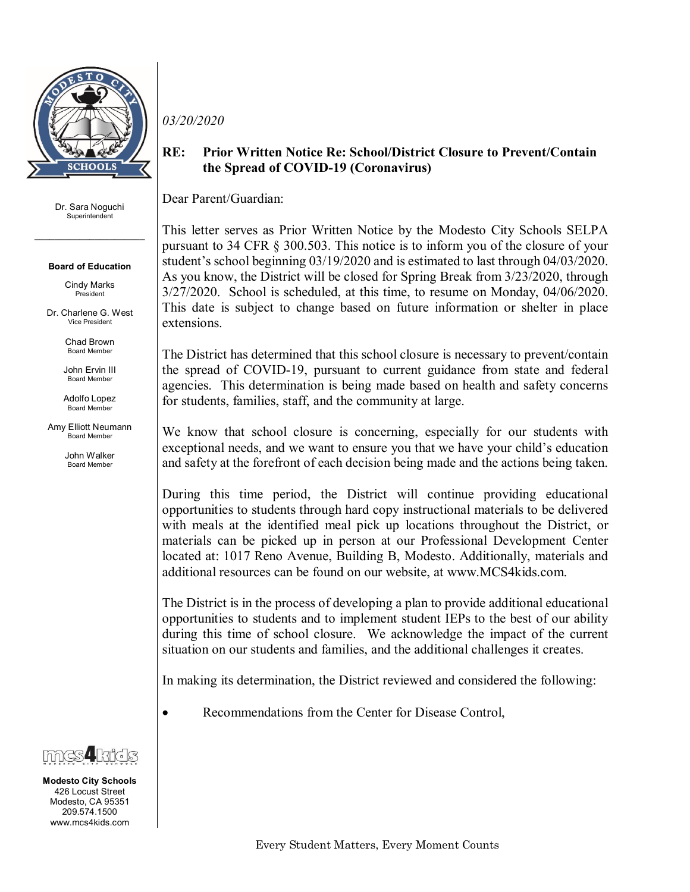

## Dr. Sara Noguchi Superintendent

*\_\_\_\_\_\_\_\_\_\_\_\_\_\_\_\_\_\_\_\_\_\_*

## **Board of Education**

Cindy Marks President

Dr. Charlene G. West Vice President

> Chad Brown Board Member

John Ervin III Board Member

Adolfo Lopez Board Member

Amy Elliott Neumann Board Member

> John Walker Board Member



## **RE: Prior Written Notice Re: School/District Closure to Prevent/Contain the Spread of COVID-19 (Coronavirus)**

Dear Parent/Guardian:

This letter serves as Prior Written Notice by the Modesto City Schools SELPA pursuant to 34 CFR § 300.503. This notice is to inform you of the closure of your student's school beginning 03/19/2020 and is estimated to last through 04/03/2020. As you know, the District will be closed for Spring Break from 3/23/2020, through 3/27/2020. School is scheduled, at this time, to resume on Monday, 04/06/2020. This date is subject to change based on future information or shelter in place extensions.

The District has determined that this school closure is necessary to prevent/contain the spread of COVID-19, pursuant to current guidance from state and federal agencies. This determination is being made based on health and safety concerns for students, families, staff, and the community at large.

We know that school closure is concerning, especially for our students with exceptional needs, and we want to ensure you that we have your child's education and safety at the forefront of each decision being made and the actions being taken.

During this time period, the District will continue providing educational opportunities to students through hard copy instructional materials to be delivered with meals at the identified meal pick up locations throughout the District, or materials can be picked up in person at our Professional Development Center located at: 1017 Reno Avenue, Building B, Modesto. Additionally, materials and additional resources can be found on our website, at www.MCS4kids.com.

The District is in the process of developing a plan to provide additional educational opportunities to students and to implement student IEPs to the best of our ability during this time of school closure. We acknowledge the impact of the current situation on our students and families, and the additional challenges it creates.

In making its determination, the District reviewed and considered the following:

• Recommendations from the Center for Disease Control,



**Modesto City Schools** 426 Locust Street Modesto, CA 95351 209.574.1500 www.mcs4kids.com